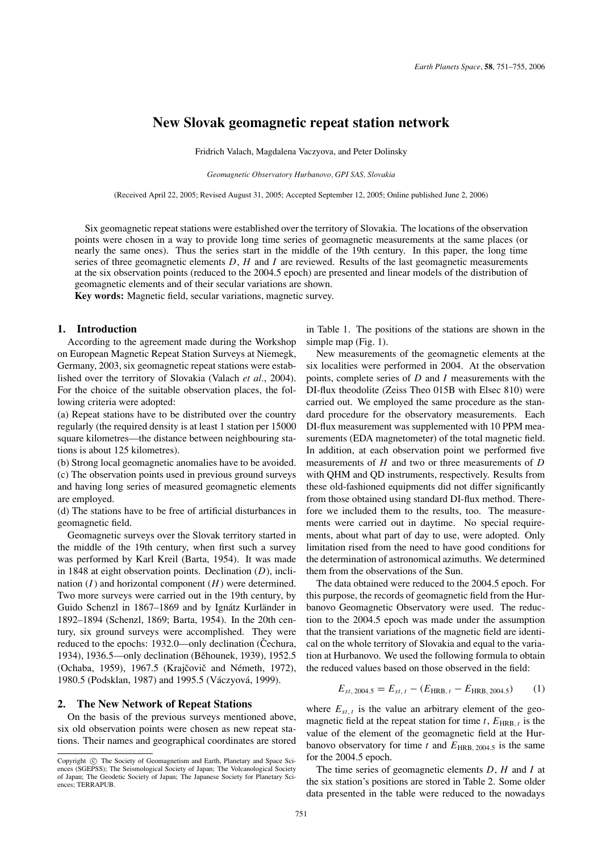# **New Slovak geomagnetic repeat station network**

Fridrich Valach, Magdalena Vaczyova, and Peter Dolinsky

*Geomagnetic Observatory Hurbanovo, GPI SAS, Slovakia*

(Received April 22, 2005; Revised August 31, 2005; Accepted September 12, 2005; Online published June 2, 2006)

Six geomagnetic repeat stations were established over the territory of Slovakia. The locations of the observation points were chosen in a way to provide long time series of geomagnetic measurements at the same places (or nearly the same ones). Thus the series start in the middle of the 19th century. In this paper, the long time series of three geomagnetic elements *D*, *H* and *I* are reviewed. Results of the last geomagnetic measurements at the six observation points (reduced to the 2004.5 epoch) are presented and linear models of the distribution of geomagnetic elements and of their secular variations are shown.

**Key words:** Magnetic field, secular variations, magnetic survey.

### **1. Introduction**

According to the agreement made during the Workshop on European Magnetic Repeat Station Surveys at Niemegk, Germany, 2003, six geomagnetic repeat stations were established over the territory of Slovakia (Valach *et al.*, 2004). For the choice of the suitable observation places, the following criteria were adopted:

(a) Repeat stations have to be distributed over the country regularly (the required density is at least 1 station per 15000 square kilometres—the distance between neighbouring stations is about 125 kilometres).

(b) Strong local geomagnetic anomalies have to be avoided. (c) The observation points used in previous ground surveys and having long series of measured geomagnetic elements are employed.

(d) The stations have to be free of artificial disturbances in geomagnetic field.

Geomagnetic surveys over the Slovak territory started in the middle of the 19th century, when first such a survey was performed by Karl Kreil (Barta, 1954). It was made in 1848 at eight observation points. Declination (*D*), inclination (*I*) and horizontal component (*H*) were determined. Two more surveys were carried out in the 19th century, by Guido Schenzl in 1867–1869 and by Ignátz Kurländer in 1892–1894 (Schenzl, 1869; Barta, 1954). In the 20th century, six ground surveys were accomplished. They were reduced to the epochs: 1932.0—only declination (Čechura, 1934), 1936.5—only declination (Běhounek, 1939), 1952.5 (Ochaba, 1959), 1967.5 (Krajčovič and Németh, 1972), 1980.5 (Podsklan, 1987) and 1995.5 (Váczyová, 1999).

#### **2. The New Network of Repeat Stations**

On the basis of the previous surveys mentioned above, six old observation points were chosen as new repeat stations. Their names and geographical coordinates are stored in Table 1. The positions of the stations are shown in the simple map (Fig. 1).

New measurements of the geomagnetic elements at the six localities were performed in 2004. At the observation points, complete series of *D* and *I* measurements with the DI-flux theodolite (Zeiss Theo 015B with Elsec 810) were carried out. We employed the same procedure as the standard procedure for the observatory measurements. Each DI-flux measurement was supplemented with 10 PPM measurements (EDA magnetometer) of the total magnetic field. In addition, at each observation point we performed five measurements of *H* and two or three measurements of *D* with QHM and QD instruments, respectively. Results from these old-fashioned equipments did not differ significantly from those obtained using standard DI-flux method. Therefore we included them to the results, too. The measurements were carried out in daytime. No special requirements, about what part of day to use, were adopted. Only limitation rised from the need to have good conditions for the determination of astronomical azimuths. We determined them from the observations of the Sun.

The data obtained were reduced to the 2004.5 epoch. For this purpose, the records of geomagnetic field from the Hurbanovo Geomagnetic Observatory were used. The reduction to the 2004.5 epoch was made under the assumption that the transient variations of the magnetic field are identical on the whole territory of Slovakia and equal to the variation at Hurbanovo. We used the following formula to obtain the reduced values based on those observed in the field:

$$
E_{st,2004.5} = E_{st,t} - (E_{HRB,t} - E_{HRB,2004.5})
$$
 (1)

where  $E_{st,t}$  is the value an arbitrary element of the geomagnetic field at the repeat station for time  $t$ ,  $E_{HRB, t}$  is the value of the element of the geomagnetic field at the Hurbanovo observatory for time  $t$  and  $E_{HRB, 2004.5}$  is the same for the 2004.5 epoch.

The time series of geomagnetic elements *D*, *H* and *I* at the six station's positions are stored in Table 2. Some older data presented in the table were reduced to the nowadays

Copyright  $\odot$  The Society of Geomagnetism and Earth, Planetary and Space Sciences (SGEPSS); The Seismological Society of Japan; The Volcanological Society of Japan; The Geodetic Society of Japan; The Japanese Society for Planetary Sciences; TERRAPUB.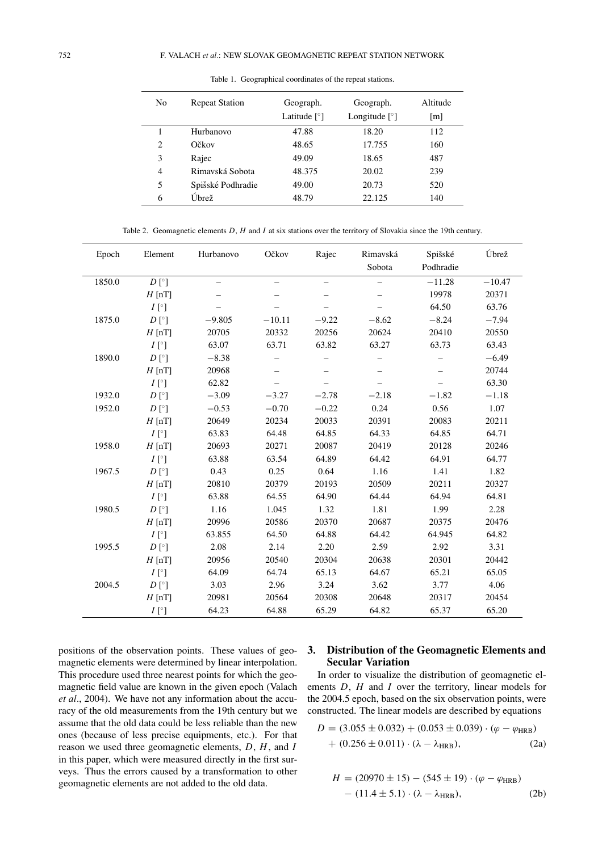| N <sub>0</sub> | <b>Repeat Station</b> | Geograph.<br>Latitude $\lceil \circ \rceil$ | Geograph.<br>Longitude $\lceil \degree \rceil$ | Altitude<br> m |
|----------------|-----------------------|---------------------------------------------|------------------------------------------------|----------------|
|                | Hurbanovo             | 47.88                                       | 18.20                                          | 112            |
| 2              | Očkov                 | 48.65                                       | 17.755                                         | 160            |
| 3              | Rajec                 | 49.09                                       | 18.65                                          | 487            |
| 4              | Rimavská Sobota       | 48.375                                      | 20.02                                          | 239            |
| 5              | Spišské Podhradie     | 49.00                                       | 20.73                                          | 520            |
| 6              | Úbrež                 | 48.79                                       | 22.125                                         | 140            |

Table 1. Geographical coordinates of the repeat stations.

Table 2. Geomagnetic elements *D*, *H* and *I* at six stations over the territory of Slovakia since the 19th century.

| Epoch  | Element        | Hurbanovo | Očkov                    | Rajec                    | Rimavská | Spišské   | Úbrež    |
|--------|----------------|-----------|--------------------------|--------------------------|----------|-----------|----------|
|        |                |           |                          |                          | Sobota   | Podhradie |          |
| 1850.0 | $D [^{\circ}]$ |           | $\overline{\phantom{0}}$ | $\overline{\phantom{0}}$ | $\equiv$ | $-11.28$  | $-10.47$ |
|        | $H$ [nT]       |           |                          |                          |          | 19978     | 20371    |
|        | $I[\degree]$   |           |                          |                          |          | 64.50     | 63.76    |
| 1875.0 | $D[\degree]$   | $-9.805$  | $-10.11$                 | $-9.22$                  | $-8.62$  | $-8.24$   | $-7.94$  |
|        | $H$ [nT]       | 20705     | 20332                    | 20256                    | 20624    | 20410     | 20550    |
|        | $I[\degree]$   | 63.07     | 63.71                    | 63.82                    | 63.27    | 63.73     | 63.43    |
| 1890.0 | $D [^{\circ}]$ | $-8.38$   |                          |                          |          |           | $-6.49$  |
|        | $H$ [nT]       | 20968     |                          |                          |          |           | 20744    |
|        | $I[\degree]$   | 62.82     |                          |                          |          |           | 63.30    |
| 1932.0 | $D [^{\circ}]$ | $-3.09$   | $-3.27$                  | $-2.78$                  | $-2.18$  | $-1.82$   | $-1.18$  |
| 1952.0 | $D [^{\circ}]$ | $-0.53$   | $-0.70$                  | $-0.22$                  | 0.24     | 0.56      | 1.07     |
|        | $H$ [nT]       | 20649     | 20234                    | 20033                    | 20391    | 20083     | 20211    |
|        | $I[\degree]$   | 63.83     | 64.48                    | 64.85                    | 64.33    | 64.85     | 64.71    |
| 1958.0 | $H$ [nT]       | 20693     | 20271                    | 20087                    | 20419    | 20128     | 20246    |
|        | $I[\degree]$   | 63.88     | 63.54                    | 64.89                    | 64.42    | 64.91     | 64.77    |
| 1967.5 | $D [^{\circ}]$ | 0.43      | 0.25                     | 0.64                     | 1.16     | 1.41      | 1.82     |
|        | $H$ [nT]       | 20810     | 20379                    | 20193                    | 20509    | 20211     | 20327    |
|        | $I[\degree]$   | 63.88     | 64.55                    | 64.90                    | 64.44    | 64.94     | 64.81    |
| 1980.5 | $D [^{\circ}]$ | 1.16      | 1.045                    | 1.32                     | 1.81     | 1.99      | 2.28     |
|        | $H$ [nT]       | 20996     | 20586                    | 20370                    | 20687    | 20375     | 20476    |
|        | $I[\degree]$   | 63.855    | 64.50                    | 64.88                    | 64.42    | 64.945    | 64.82    |
| 1995.5 | $D [^{\circ}]$ | 2.08      | 2.14                     | 2.20                     | 2.59     | 2.92      | 3.31     |
|        | $H$ [nT]       | 20956     | 20540                    | 20304                    | 20638    | 20301     | 20442    |
|        | $I[\degree]$   | 64.09     | 64.74                    | 65.13                    | 64.67    | 65.21     | 65.05    |
| 2004.5 | $D [^{\circ}]$ | 3.03      | 2.96                     | 3.24                     | 3.62     | 3.77      | 4.06     |
|        | $H$ [nT]       | 20981     | 20564                    | 20308                    | 20648    | 20317     | 20454    |
|        | $I[^{\circ}]$  | 64.23     | 64.88                    | 65.29                    | 64.82    | 65.37     | 65.20    |

positions of the observation points. These values of geomagnetic elements were determined by linear interpolation. This procedure used three nearest points for which the geomagnetic field value are known in the given epoch (Valach *et al.*, 2004). We have not any information about the accuracy of the old measurements from the 19th century but we assume that the old data could be less reliable than the new ones (because of less precise equipments, etc.). For that reason we used three geomagnetic elements, *D*, *H*, and *I* in this paper, which were measured directly in the first surveys. Thus the errors caused by a transformation to other geomagnetic elements are not added to the old data.

# **3. Distribution of the Geomagnetic Elements and Secular Variation**

In order to visualize the distribution of geomagnetic elements *D*, *H* and *I* over the territory, linear models for the 2004.5 epoch, based on the six observation points, were constructed. The linear models are described by equations

$$
D = (3.055 \pm 0.032) + (0.053 \pm 0.039) \cdot (\varphi - \varphi_{HRB}) + (0.256 \pm 0.011) \cdot (\lambda - \lambda_{HRB}),
$$
 (2a)

$$
H = (20970 \pm 15) - (545 \pm 19) \cdot (\varphi - \varphi_{HRB})
$$

$$
- (11.4 \pm 5.1) \cdot (\lambda - \lambda_{HRB}), \qquad (2b)
$$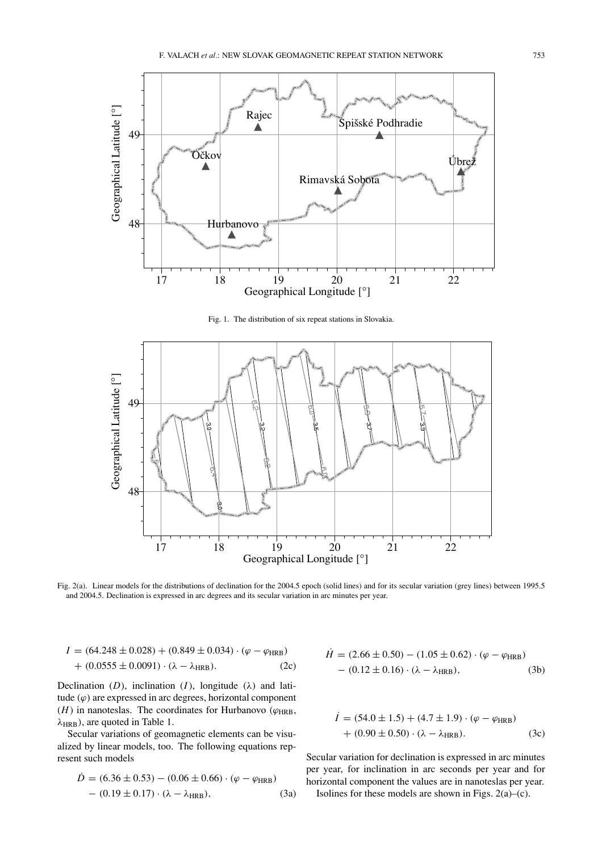

Fig. 1. The distribution of six repeat stations in Slovakia.



Fig. 2(a). Linear models for the distributions of declination for the 2004.5 epoch (solid lines) and for its secular variation (grey lines) between 1995.5 and 2004.5. Declination is expressed in arc degrees and its secular variation in arc minutes per year.

$$
I = (64.248 \pm 0.028) + (0.849 \pm 0.034) \cdot (\varphi - \varphi_{HRB}) + (0.0555 \pm 0.0091) \cdot (\lambda - \lambda_{HRB}).
$$
 (2c)

Declination (*D*), inclination (*I*), longitude ( $\lambda$ ) and latitude  $(\varphi)$  are expressed in arc degrees, horizontal component  $(H)$  in nanoteslas. The coordinates for Hurbanovo ( $\varphi$ <sub>HRB</sub>,  $\lambda_{HRB}$ ), are quoted in Table 1.

Secular variations of geomagnetic elements can be visualized by linear models, too. The following equations represent such models

$$
\dot{D} = (6.36 \pm 0.53) - (0.06 \pm 0.66) \cdot (\varphi - \varphi_{HRB}) \n- (0.19 \pm 0.17) \cdot (\lambda - \lambda_{HRB}),
$$
\n(3a)

$$
H = (2.66 \pm 0.50) - (1.05 \pm 0.62) \cdot (\varphi - \varphi_{HRB})
$$

$$
- (0.12 \pm 0.16) \cdot (\lambda - \lambda_{HRB}), \qquad (3b)
$$

$$
I = (54.0 \pm 1.5) + (4.7 \pm 1.9) \cdot (\varphi - \varphi_{HRB})
$$
  
+ (0.90 \pm 0.50) \cdot (\lambda - \lambda\_{HRB}). (3c)

Secular variation for declination is expressed in arc minutes per year, for inclination in arc seconds per year and for horizontal component the values are in nanoteslas per year. Isolines for these models are shown in Figs.  $2(a)$ –(c).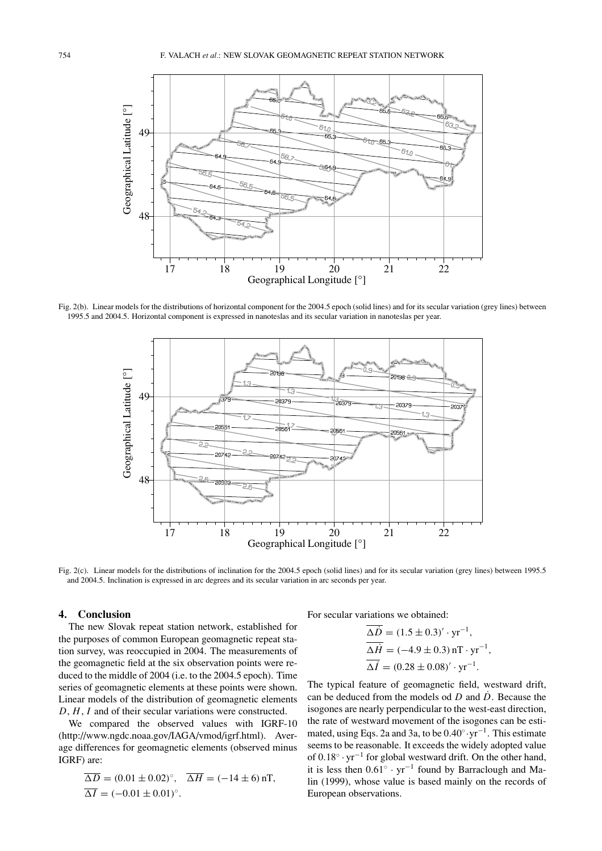

Fig. 2(b). Linear models for the distributions of horizontal component for the 2004.5 epoch (solid lines) and for its secular variation (grey lines) between 1995.5 and 2004.5. Horizontal component is expressed in nanoteslas and its secular variation in nanoteslas per year.



Fig. 2(c). Linear models for the distributions of inclination for the 2004.5 epoch (solid lines) and for its secular variation (grey lines) between 1995.5 and 2004.5. Inclination is expressed in arc degrees and its secular variation in arc seconds per year.

## **4. Conclusion**

The new Slovak repeat station network, established for the purposes of common European geomagnetic repeat station survey, was reoccupied in 2004. The measurements of the geomagnetic field at the six observation points were reduced to the middle of 2004 (i.e. to the 2004.5 epoch). Time series of geomagnetic elements at these points were shown. Linear models of the distribution of geomagnetic elements *D*, *H*, *I* and of their secular variations were constructed.

We compared the observed values with IGRF-10 (http://www.ngdc.noaa.gov/IAGA/vmod/igrf.html). Average differences for geomagnetic elements (observed minus IGRF) are:

$$
\overline{\Delta D} = (0.01 \pm 0.02)^{\circ}, \quad \overline{\Delta H} = (-14 \pm 6) \text{ nT},
$$
  

$$
\overline{\Delta I} = (-0.01 \pm 0.01)^{\circ}.
$$

For secular variations we obtained:

$$
\Delta \dot{D} = (1.5 \pm 0.3)' \cdot yr^{-1}, \n\overline{\Delta H} = (-4.9 \pm 0.3) \text{ nT} \cdot yr^{-1}, \n\overline{\Delta I} = (0.28 \pm 0.08)' \cdot yr^{-1}.
$$

The typical feature of geomagnetic field, westward drift, can be deduced from the models od *D* and *D*˙ . Because the isogones are nearly perpendicular to the west-east direction, the rate of westward movement of the isogones can be estimated, using Eqs. 2a and 3a, to be 0.40◦·yr−1. This estimate seems to be reasonable. It exceeds the widely adopted value of 0.18◦ · yr−<sup>1</sup> for global westward drift. On the other hand, it is less then  $0.61° \cdot yr^{-1}$  found by Barraclough and Malin (1999), whose value is based mainly on the records of European observations.